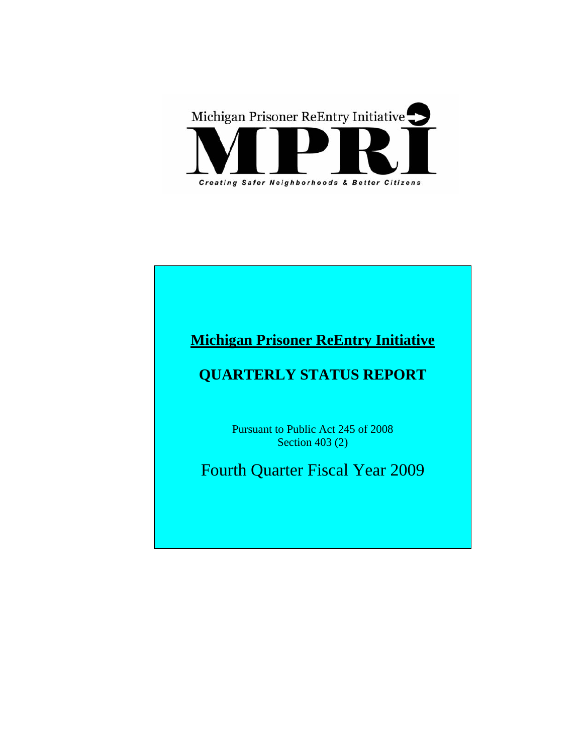

# **Michigan Prisoner ReEntry Initiative**

# **QUARTERLY STATUS REPORT**

Pursuant to Public Act 245 of 2008 Section 403 (2)

Fourth Quarter Fiscal Year 2009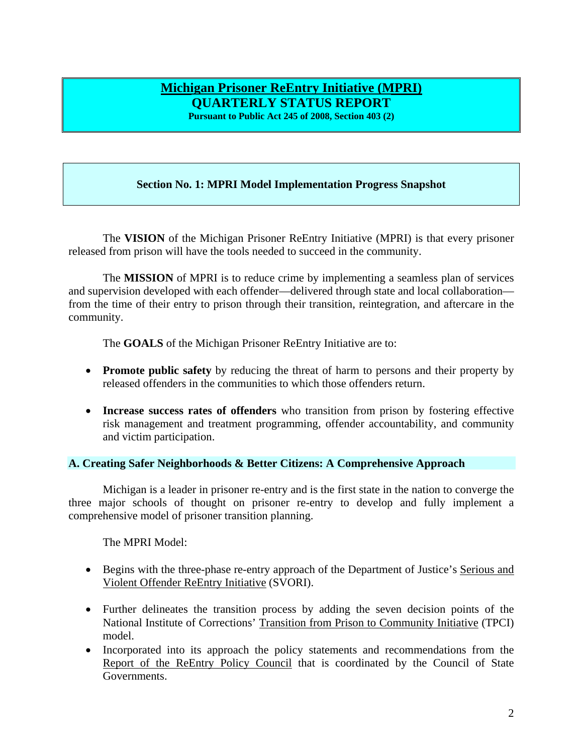# **Michigan Prisoner ReEntry Initiative (MPRI) QUARTERLY STATUS REPORT**

**Pursuant to Public Act 245 of 2008, Section 403 (2)** 

# **Section No. 1: MPRI Model Implementation Progress Snapshot**

The **VISION** of the Michigan Prisoner ReEntry Initiative (MPRI) is that every prisoner released from prison will have the tools needed to succeed in the community.

The **MISSION** of MPRI is to reduce crime by implementing a seamless plan of services and supervision developed with each offender—delivered through state and local collaboration from the time of their entry to prison through their transition, reintegration, and aftercare in the community.

The **GOALS** of the Michigan Prisoner ReEntry Initiative are to:

- **Promote public safety** by reducing the threat of harm to persons and their property by released offenders in the communities to which those offenders return.
- **Increase success rates of offenders** who transition from prison by fostering effective risk management and treatment programming, offender accountability, and community and victim participation.

# **A. Creating Safer Neighborhoods & Better Citizens: A Comprehensive Approach**

Michigan is a leader in prisoner re-entry and is the first state in the nation to converge the three major schools of thought on prisoner re-entry to develop and fully implement a comprehensive model of prisoner transition planning.

The MPRI Model:

- Begins with the three-phase re-entry approach of the Department of Justice's Serious and Violent Offender ReEntry Initiative (SVORI).
- Further delineates the transition process by adding the seven decision points of the National Institute of Corrections' Transition from Prison to Community Initiative (TPCI) model.
- Incorporated into its approach the policy statements and recommendations from the Report of the ReEntry Policy Council that is coordinated by the Council of State Governments.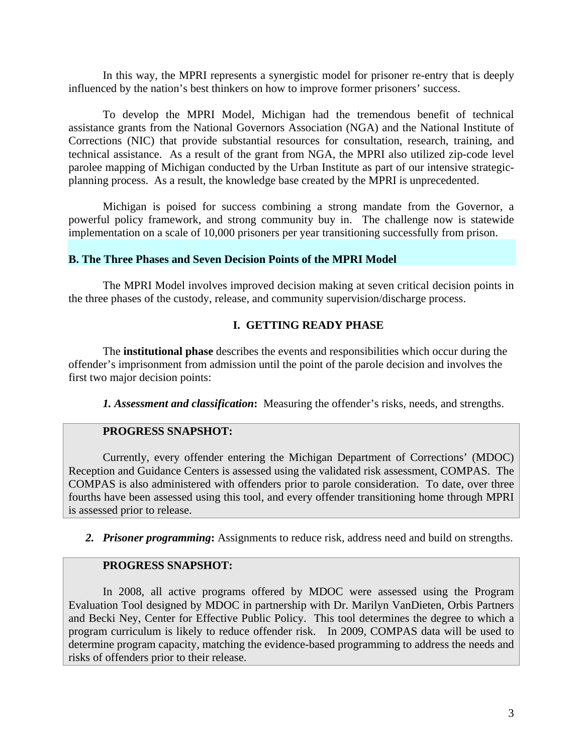In this way, the MPRI represents a synergistic model for prisoner re-entry that is deeply influenced by the nation's best thinkers on how to improve former prisoners' success.

To develop the MPRI Model, Michigan had the tremendous benefit of technical assistance grants from the National Governors Association (NGA) and the National Institute of Corrections (NIC) that provide substantial resources for consultation, research, training, and technical assistance. As a result of the grant from NGA, the MPRI also utilized zip-code level parolee mapping of Michigan conducted by the Urban Institute as part of our intensive strategicplanning process. As a result, the knowledge base created by the MPRI is unprecedented.

Michigan is poised for success combining a strong mandate from the Governor, a powerful policy framework, and strong community buy in. The challenge now is statewide implementation on a scale of 10,000 prisoners per year transitioning successfully from prison.

# **B. The Three Phases and Seven Decision Points of the MPRI Model**

The MPRI Model involves improved decision making at seven critical decision points in the three phases of the custody, release, and community supervision/discharge process.

# **I. GETTING READY PHASE**

The **institutional phase** describes the events and responsibilities which occur during the offender's imprisonment from admission until the point of the parole decision and involves the first two major decision points:

*1. Assessment and classification***:** Measuring the offender's risks, needs, and strengths.

# **PROGRESS SNAPSHOT:**

Currently, every offender entering the Michigan Department of Corrections' (MDOC) Reception and Guidance Centers is assessed using the validated risk assessment, COMPAS. The COMPAS is also administered with offenders prior to parole consideration. To date, over three fourths have been assessed using this tool, and every offender transitioning home through MPRI is assessed prior to release.

*2. Prisoner programming***:** Assignments to reduce risk, address need and build on strengths.

# **PROGRESS SNAPSHOT:**

In 2008, all active programs offered by MDOC were assessed using the Program Evaluation Tool designed by MDOC in partnership with Dr. Marilyn VanDieten, Orbis Partners and Becki Ney, Center for Effective Public Policy. This tool determines the degree to which a program curriculum is likely to reduce offender risk. In 2009, COMPAS data will be used to determine program capacity, matching the evidence-based programming to address the needs and risks of offenders prior to their release.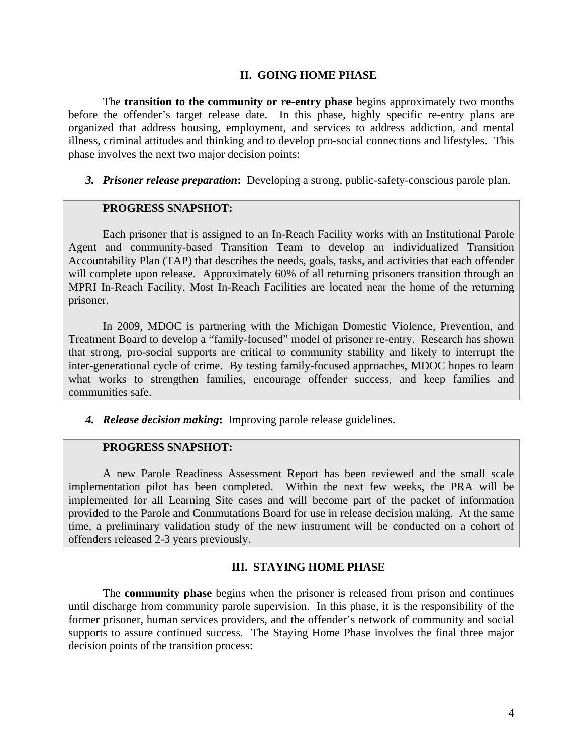# **II. GOING HOME PHASE**

The **transition to the community or re-entry phase** begins approximately two months before the offender's target release date. In this phase, highly specific re-entry plans are organized that address housing, employment, and services to address addiction, and mental illness, criminal attitudes and thinking and to develop pro-social connections and lifestyles. This phase involves the next two major decision points:

*3. Prisoner release preparation***:** Developing a strong, public-safety-conscious parole plan.

#### **PROGRESS SNAPSHOT:**

Each prisoner that is assigned to an In-Reach Facility works with an Institutional Parole Agent and community-based Transition Team to develop an individualized Transition Accountability Plan (TAP) that describes the needs, goals, tasks, and activities that each offender will complete upon release. Approximately 60% of all returning prisoners transition through an MPRI In-Reach Facility. Most In-Reach Facilities are located near the home of the returning prisoner.

In 2009, MDOC is partnering with the Michigan Domestic Violence, Prevention, and Treatment Board to develop a "family-focused" model of prisoner re-entry. Research has shown that strong, pro-social supports are critical to community stability and likely to interrupt the inter-generational cycle of crime. By testing family-focused approaches, MDOC hopes to learn what works to strengthen families, encourage offender success, and keep families and communities safe.

*4. Release decision making***:** Improving parole release guidelines.

# **PROGRESS SNAPSHOT:**

A new Parole Readiness Assessment Report has been reviewed and the small scale implementation pilot has been completed. Within the next few weeks, the PRA will be implemented for all Learning Site cases and will become part of the packet of information provided to the Parole and Commutations Board for use in release decision making. At the same time, a preliminary validation study of the new instrument will be conducted on a cohort of offenders released 2-3 years previously.

#### **III. STAYING HOME PHASE**

The **community phase** begins when the prisoner is released from prison and continues until discharge from community parole supervision. In this phase, it is the responsibility of the former prisoner, human services providers, and the offender's network of community and social supports to assure continued success. The Staying Home Phase involves the final three major decision points of the transition process: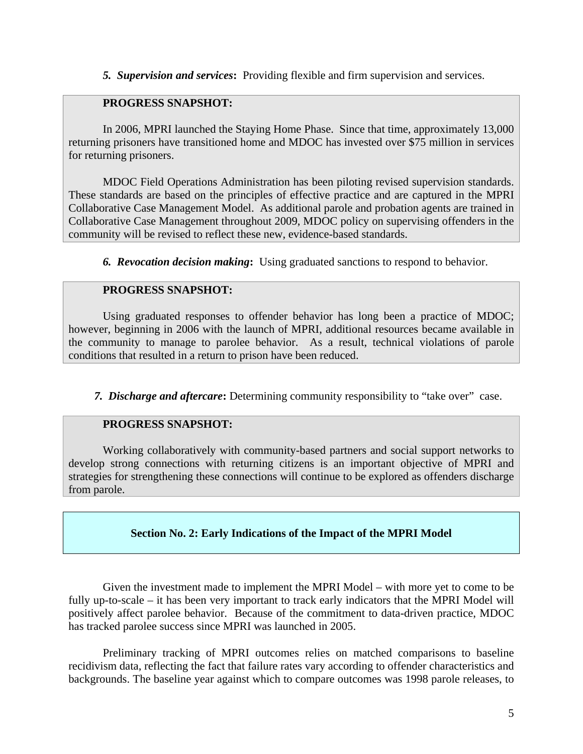*5. Supervision and services***:** Providing flexible and firm supervision and services.

# **PROGRESS SNAPSHOT:**

In 2006, MPRI launched the Staying Home Phase. Since that time, approximately 13,000 returning prisoners have transitioned home and MDOC has invested over \$75 million in services for returning prisoners.

MDOC Field Operations Administration has been piloting revised supervision standards. These standards are based on the principles of effective practice and are captured in the MPRI Collaborative Case Management Model. As additional parole and probation agents are trained in Collaborative Case Management throughout 2009, MDOC policy on supervising offenders in the community will be revised to reflect these new, evidence-based standards.

*6. Revocation decision making***:** Using graduated sanctions to respond to behavior.

# **PROGRESS SNAPSHOT:**

Using graduated responses to offender behavior has long been a practice of MDOC; however, beginning in 2006 with the launch of MPRI, additional resources became available in the community to manage to parolee behavior. As a result, technical violations of parole conditions that resulted in a return to prison have been reduced.

*7. Discharge and aftercare***:** Determining community responsibility to "take over" case.

# **PROGRESS SNAPSHOT:**

Working collaboratively with community-based partners and social support networks to develop strong connections with returning citizens is an important objective of MPRI and strategies for strengthening these connections will continue to be explored as offenders discharge from parole.

# **Section No. 2: Early Indications of the Impact of the MPRI Model**

Given the investment made to implement the MPRI Model – with more yet to come to be fully up-to-scale – it has been very important to track early indicators that the MPRI Model will positively affect parolee behavior. Because of the commitment to data-driven practice, MDOC has tracked parolee success since MPRI was launched in 2005.

Preliminary tracking of MPRI outcomes relies on matched comparisons to baseline recidivism data, reflecting the fact that failure rates vary according to offender characteristics and backgrounds. The baseline year against which to compare outcomes was 1998 parole releases, to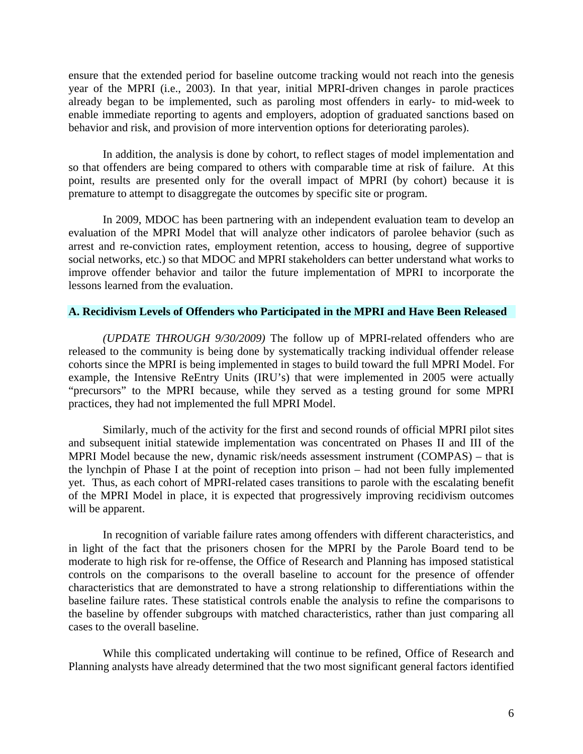ensure that the extended period for baseline outcome tracking would not reach into the genesis year of the MPRI (i.e., 2003). In that year, initial MPRI-driven changes in parole practices already began to be implemented, such as paroling most offenders in early- to mid-week to enable immediate reporting to agents and employers, adoption of graduated sanctions based on behavior and risk, and provision of more intervention options for deteriorating paroles).

In addition, the analysis is done by cohort, to reflect stages of model implementation and so that offenders are being compared to others with comparable time at risk of failure. At this point, results are presented only for the overall impact of MPRI (by cohort) because it is premature to attempt to disaggregate the outcomes by specific site or program.

In 2009, MDOC has been partnering with an independent evaluation team to develop an evaluation of the MPRI Model that will analyze other indicators of parolee behavior (such as arrest and re-conviction rates, employment retention, access to housing, degree of supportive social networks, etc.) so that MDOC and MPRI stakeholders can better understand what works to improve offender behavior and tailor the future implementation of MPRI to incorporate the lessons learned from the evaluation.

#### **A. Recidivism Levels of Offenders who Participated in the MPRI and Have Been Released**

*(UPDATE THROUGH 9/30/2009)* The follow up of MPRI-related offenders who are released to the community is being done by systematically tracking individual offender release cohorts since the MPRI is being implemented in stages to build toward the full MPRI Model. For example, the Intensive ReEntry Units (IRU's) that were implemented in 2005 were actually "precursors" to the MPRI because, while they served as a testing ground for some MPRI practices, they had not implemented the full MPRI Model.

Similarly, much of the activity for the first and second rounds of official MPRI pilot sites and subsequent initial statewide implementation was concentrated on Phases II and III of the MPRI Model because the new, dynamic risk/needs assessment instrument (COMPAS) – that is the lynchpin of Phase I at the point of reception into prison – had not been fully implemented yet. Thus, as each cohort of MPRI-related cases transitions to parole with the escalating benefit of the MPRI Model in place, it is expected that progressively improving recidivism outcomes will be apparent.

In recognition of variable failure rates among offenders with different characteristics, and in light of the fact that the prisoners chosen for the MPRI by the Parole Board tend to be moderate to high risk for re-offense, the Office of Research and Planning has imposed statistical controls on the comparisons to the overall baseline to account for the presence of offender characteristics that are demonstrated to have a strong relationship to differentiations within the baseline failure rates. These statistical controls enable the analysis to refine the comparisons to the baseline by offender subgroups with matched characteristics, rather than just comparing all cases to the overall baseline.

While this complicated undertaking will continue to be refined, Office of Research and Planning analysts have already determined that the two most significant general factors identified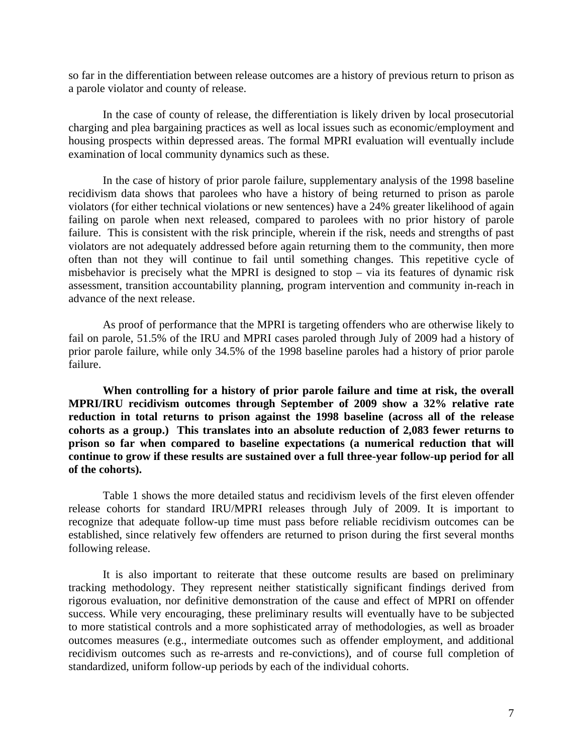so far in the differentiation between release outcomes are a history of previous return to prison as a parole violator and county of release.

In the case of county of release, the differentiation is likely driven by local prosecutorial charging and plea bargaining practices as well as local issues such as economic/employment and housing prospects within depressed areas. The formal MPRI evaluation will eventually include examination of local community dynamics such as these.

In the case of history of prior parole failure, supplementary analysis of the 1998 baseline recidivism data shows that parolees who have a history of being returned to prison as parole violators (for either technical violations or new sentences) have a 24% greater likelihood of again failing on parole when next released, compared to parolees with no prior history of parole failure. This is consistent with the risk principle, wherein if the risk, needs and strengths of past violators are not adequately addressed before again returning them to the community, then more often than not they will continue to fail until something changes. This repetitive cycle of misbehavior is precisely what the MPRI is designed to stop – via its features of dynamic risk assessment, transition accountability planning, program intervention and community in-reach in advance of the next release.

As proof of performance that the MPRI is targeting offenders who are otherwise likely to fail on parole, 51.5% of the IRU and MPRI cases paroled through July of 2009 had a history of prior parole failure, while only 34.5% of the 1998 baseline paroles had a history of prior parole failure.

**When controlling for a history of prior parole failure and time at risk, the overall MPRI/IRU recidivism outcomes through September of 2009 show a 32% relative rate reduction in total returns to prison against the 1998 baseline (across all of the release cohorts as a group.) This translates into an absolute reduction of 2,083 fewer returns to prison so far when compared to baseline expectations (a numerical reduction that will continue to grow if these results are sustained over a full three-year follow-up period for all of the cohorts).** 

Table 1 shows the more detailed status and recidivism levels of the first eleven offender release cohorts for standard IRU/MPRI releases through July of 2009. It is important to recognize that adequate follow-up time must pass before reliable recidivism outcomes can be established, since relatively few offenders are returned to prison during the first several months following release.

It is also important to reiterate that these outcome results are based on preliminary tracking methodology. They represent neither statistically significant findings derived from rigorous evaluation, nor definitive demonstration of the cause and effect of MPRI on offender success. While very encouraging, these preliminary results will eventually have to be subjected to more statistical controls and a more sophisticated array of methodologies, as well as broader outcomes measures (e.g., intermediate outcomes such as offender employment, and additional recidivism outcomes such as re-arrests and re-convictions), and of course full completion of standardized, uniform follow-up periods by each of the individual cohorts.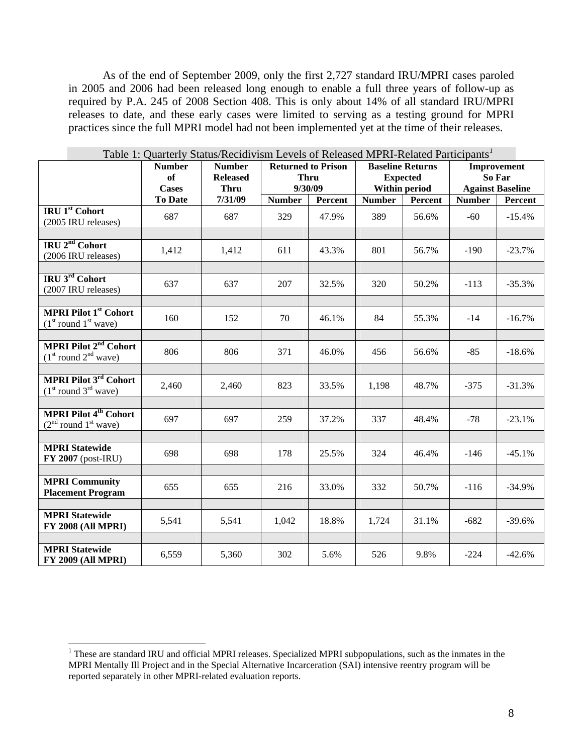As of the end of September 2009, only the first 2,727 standard IRU/MPRI cases paroled in 2005 and 2006 had been released long enough to enable a full three years of follow-up as required by P.A. 245 of 2008 Section 408. This is only about 14% of all standard IRU/MPRI releases to date, and these early cases were limited to serving as a testing ground for MPRI practices since the full MPRI model had not been implemented yet at the time of their releases.

| Table 1: Quarterly Status/Recidivism Levels of Released MPRI-Related Participants <sup>1</sup> |                                     |                                                 |                                                     |         |                                                             |         |                                                  |          |
|------------------------------------------------------------------------------------------------|-------------------------------------|-------------------------------------------------|-----------------------------------------------------|---------|-------------------------------------------------------------|---------|--------------------------------------------------|----------|
|                                                                                                | <b>Number</b><br>of<br><b>Cases</b> | <b>Number</b><br><b>Released</b><br><b>Thru</b> | <b>Returned to Prison</b><br><b>Thru</b><br>9/30/09 |         | <b>Baseline Returns</b><br><b>Expected</b><br>Within period |         | Improvement<br>So Far<br><b>Against Baseline</b> |          |
|                                                                                                | <b>To Date</b>                      | 7/31/09                                         | <b>Number</b>                                       | Percent | <b>Number</b>                                               | Percent | <b>Number</b>                                    | Percent  |
| <b>IRU 1st</b> Cohort<br>(2005 IRU releases)                                                   | 687                                 | 687                                             | 329                                                 | 47.9%   | 389                                                         | 56.6%   | $-60$                                            | $-15.4%$ |
| IRU 2 <sup>nd</sup> Cohort<br>(2006 IRU releases)                                              | 1,412                               | 1,412                                           | 611                                                 | 43.3%   | 801                                                         | 56.7%   | $-190$                                           | $-23.7%$ |
| IRU 3rd Cohort<br>(2007 IRU releases)                                                          | 637                                 | 637                                             | 207                                                 | 32.5%   | 320                                                         | 50.2%   | $-113$                                           | $-35.3%$ |
| <b>MPRI Pilot 1st Cohort</b><br>$(1st$ round $1st$ wave)                                       | 160                                 | 152                                             | 70                                                  | 46.1%   | 84                                                          | 55.3%   | $-14$                                            | $-16.7%$ |
| <b>MPRI Pilot 2<sup>nd</sup> Cohort</b><br>$(1st$ round $2nd$ wave)                            | 806                                 | 806                                             | 371                                                 | 46.0%   | 456                                                         | 56.6%   | $-85$                                            | $-18.6%$ |
| <b>MPRI Pilot 3rd Cohort</b><br>$(1st$ round $3rd$ wave)                                       | 2,460                               | 2,460                                           | 823                                                 | 33.5%   | 1,198                                                       | 48.7%   | $-375$                                           | $-31.3%$ |
| <b>MPRI Pilot 4<sup>th</sup> Cohort</b><br>$(2nd$ round $1st$ wave)                            | 697                                 | 697                                             | 259                                                 | 37.2%   | 337                                                         | 48.4%   | $-78$                                            | $-23.1%$ |
| <b>MPRI Statewide</b><br>$FY$ 2007 (post-IRU)                                                  | 698                                 | 698                                             | 178                                                 | 25.5%   | 324                                                         | 46.4%   | $-146$                                           | $-45.1%$ |
| <b>MPRI Community</b><br><b>Placement Program</b>                                              | 655                                 | 655                                             | 216                                                 | 33.0%   | 332                                                         | 50.7%   | $-116$                                           | $-34.9%$ |
| <b>MPRI Statewide</b><br><b>FY 2008 (All MPRI)</b>                                             | 5,541                               | 5,541                                           | 1,042                                               | 18.8%   | 1,724                                                       | 31.1%   | $-682$                                           | $-39.6%$ |
| <b>MPRI Statewide</b><br><b>FY 2009 (All MPRI)</b>                                             | 6,559                               | 5,360                                           | 302                                                 | 5.6%    | 526                                                         | 9.8%    | $-224$                                           | $-42.6%$ |

 $\overline{a}$ 

<span id="page-7-0"></span><sup>&</sup>lt;sup>1</sup> These are standard IRU and official MPRI releases. Specialized MPRI subpopulations, such as the inmates in the MPRI Mentally Ill Project and in the Special Alternative Incarceration (SAI) intensive reentry program will be reported separately in other MPRI-related evaluation reports.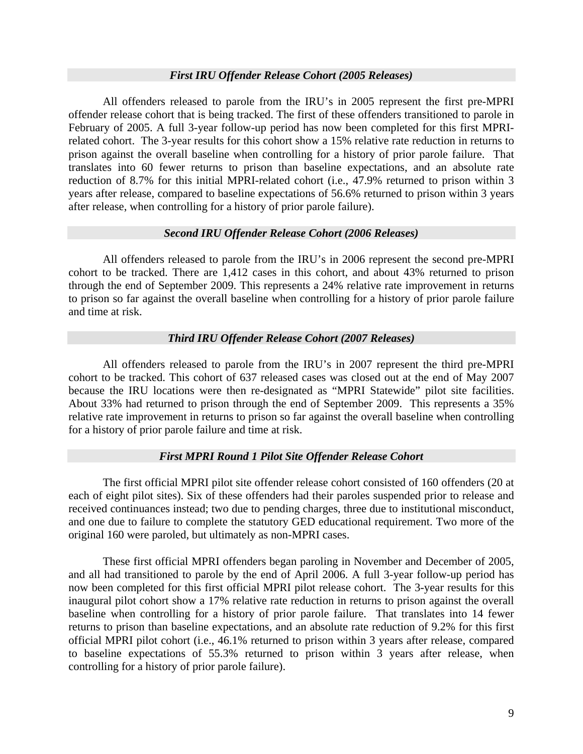## *First IRU Offender Release Cohort (2005 Releases)*

All offenders released to parole from the IRU's in 2005 represent the first pre-MPRI offender release cohort that is being tracked. The first of these offenders transitioned to parole in February of 2005. A full 3-year follow-up period has now been completed for this first MPRIrelated cohort. The 3-year results for this cohort show a 15% relative rate reduction in returns to prison against the overall baseline when controlling for a history of prior parole failure. That translates into 60 fewer returns to prison than baseline expectations, and an absolute rate reduction of 8.7% for this initial MPRI-related cohort (i.e., 47.9% returned to prison within 3 years after release, compared to baseline expectations of 56.6% returned to prison within 3 years after release, when controlling for a history of prior parole failure).

## *Second IRU Offender Release Cohort (2006 Releases)*

All offenders released to parole from the IRU's in 2006 represent the second pre-MPRI cohort to be tracked. There are 1,412 cases in this cohort, and about 43% returned to prison through the end of September 2009. This represents a 24% relative rate improvement in returns to prison so far against the overall baseline when controlling for a history of prior parole failure and time at risk.

#### *Third IRU Offender Release Cohort (2007 Releases)*

All offenders released to parole from the IRU's in 2007 represent the third pre-MPRI cohort to be tracked. This cohort of 637 released cases was closed out at the end of May 2007 because the IRU locations were then re-designated as "MPRI Statewide" pilot site facilities. About 33% had returned to prison through the end of September 2009. This represents a 35% relative rate improvement in returns to prison so far against the overall baseline when controlling for a history of prior parole failure and time at risk.

#### *First MPRI Round 1 Pilot Site Offender Release Cohort*

The first official MPRI pilot site offender release cohort consisted of 160 offenders (20 at each of eight pilot sites). Six of these offenders had their paroles suspended prior to release and received continuances instead; two due to pending charges, three due to institutional misconduct, and one due to failure to complete the statutory GED educational requirement. Two more of the original 160 were paroled, but ultimately as non-MPRI cases.

These first official MPRI offenders began paroling in November and December of 2005, and all had transitioned to parole by the end of April 2006. A full 3-year follow-up period has now been completed for this first official MPRI pilot release cohort. The 3-year results for this inaugural pilot cohort show a 17% relative rate reduction in returns to prison against the overall baseline when controlling for a history of prior parole failure. That translates into 14 fewer returns to prison than baseline expectations, and an absolute rate reduction of 9.2% for this first official MPRI pilot cohort (i.e., 46.1% returned to prison within 3 years after release, compared to baseline expectations of 55.3% returned to prison within 3 years after release, when controlling for a history of prior parole failure).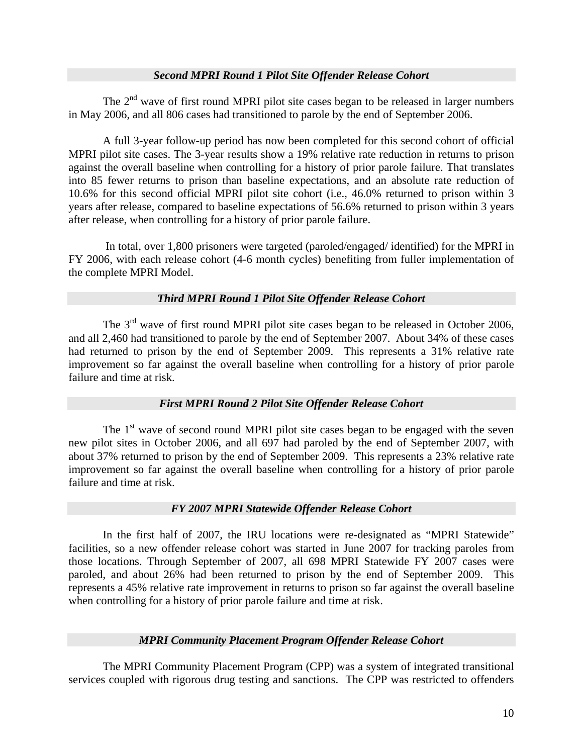## *Second MPRI Round 1 Pilot Site Offender Release Cohort*

The  $2<sup>nd</sup>$  wave of first round MPRI pilot site cases began to be released in larger numbers in May 2006, and all 806 cases had transitioned to parole by the end of September 2006.

A full 3-year follow-up period has now been completed for this second cohort of official MPRI pilot site cases. The 3-year results show a 19% relative rate reduction in returns to prison against the overall baseline when controlling for a history of prior parole failure. That translates into 85 fewer returns to prison than baseline expectations, and an absolute rate reduction of 10.6% for this second official MPRI pilot site cohort (i.e., 46.0% returned to prison within 3 years after release, compared to baseline expectations of 56.6% returned to prison within 3 years after release, when controlling for a history of prior parole failure.

 In total, over 1,800 prisoners were targeted (paroled/engaged/ identified) for the MPRI in FY 2006, with each release cohort (4-6 month cycles) benefiting from fuller implementation of the complete MPRI Model.

# *Third MPRI Round 1 Pilot Site Offender Release Cohort*

The  $3<sup>rd</sup>$  wave of first round MPRI pilot site cases began to be released in October 2006, and all 2,460 had transitioned to parole by the end of September 2007. About 34% of these cases had returned to prison by the end of September 2009. This represents a 31% relative rate improvement so far against the overall baseline when controlling for a history of prior parole failure and time at risk.

# *First MPRI Round 2 Pilot Site Offender Release Cohort*

The  $1<sup>st</sup>$  wave of second round MPRI pilot site cases began to be engaged with the seven new pilot sites in October 2006, and all 697 had paroled by the end of September 2007, with about 37% returned to prison by the end of September 2009. This represents a 23% relative rate improvement so far against the overall baseline when controlling for a history of prior parole failure and time at risk.

# *FY 2007 MPRI Statewide Offender Release Cohort*

In the first half of 2007, the IRU locations were re-designated as "MPRI Statewide" facilities, so a new offender release cohort was started in June 2007 for tracking paroles from those locations. Through September of 2007, all 698 MPRI Statewide FY 2007 cases were paroled, and about 26% had been returned to prison by the end of September 2009. This represents a 45% relative rate improvement in returns to prison so far against the overall baseline when controlling for a history of prior parole failure and time at risk.

# *MPRI Community Placement Program Offender Release Cohort*

The MPRI Community Placement Program (CPP) was a system of integrated transitional services coupled with rigorous drug testing and sanctions. The CPP was restricted to offenders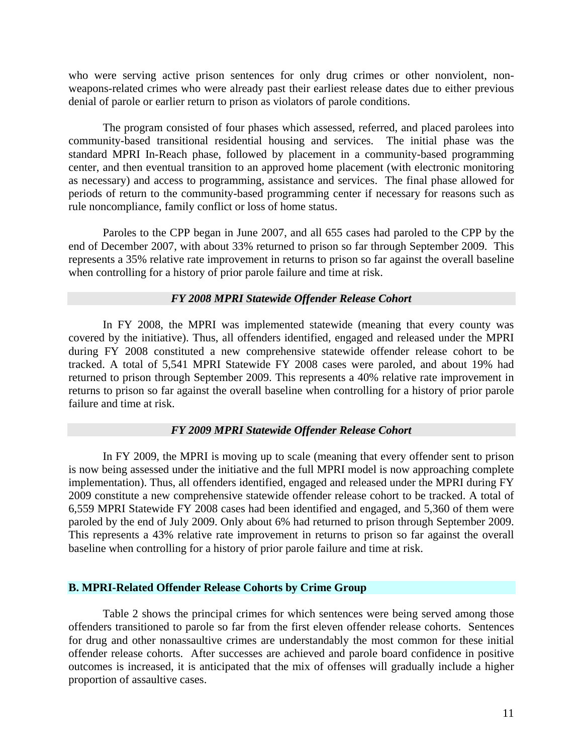who were serving active prison sentences for only drug crimes or other nonviolent, nonweapons-related crimes who were already past their earliest release dates due to either previous denial of parole or earlier return to prison as violators of parole conditions.

The program consisted of four phases which assessed, referred, and placed parolees into community-based transitional residential housing and services. The initial phase was the standard MPRI In-Reach phase, followed by placement in a community-based programming center, and then eventual transition to an approved home placement (with electronic monitoring as necessary) and access to programming, assistance and services. The final phase allowed for periods of return to the community-based programming center if necessary for reasons such as rule noncompliance, family conflict or loss of home status.

Paroles to the CPP began in June 2007, and all 655 cases had paroled to the CPP by the end of December 2007, with about 33% returned to prison so far through September 2009. This represents a 35% relative rate improvement in returns to prison so far against the overall baseline when controlling for a history of prior parole failure and time at risk.

## *FY 2008 MPRI Statewide Offender Release Cohort*

In FY 2008, the MPRI was implemented statewide (meaning that every county was covered by the initiative). Thus, all offenders identified, engaged and released under the MPRI during FY 2008 constituted a new comprehensive statewide offender release cohort to be tracked. A total of 5,541 MPRI Statewide FY 2008 cases were paroled, and about 19% had returned to prison through September 2009. This represents a 40% relative rate improvement in returns to prison so far against the overall baseline when controlling for a history of prior parole failure and time at risk.

#### *FY 2009 MPRI Statewide Offender Release Cohort*

In FY 2009, the MPRI is moving up to scale (meaning that every offender sent to prison is now being assessed under the initiative and the full MPRI model is now approaching complete implementation). Thus, all offenders identified, engaged and released under the MPRI during FY 2009 constitute a new comprehensive statewide offender release cohort to be tracked. A total of 6,559 MPRI Statewide FY 2008 cases had been identified and engaged, and 5,360 of them were paroled by the end of July 2009. Only about 6% had returned to prison through September 2009. This represents a 43% relative rate improvement in returns to prison so far against the overall baseline when controlling for a history of prior parole failure and time at risk.

#### **B. MPRI-Related Offender Release Cohorts by Crime Group**

Table 2 shows the principal crimes for which sentences were being served among those offenders transitioned to parole so far from the first eleven offender release cohorts. Sentences for drug and other nonassaultive crimes are understandably the most common for these initial offender release cohorts. After successes are achieved and parole board confidence in positive outcomes is increased, it is anticipated that the mix of offenses will gradually include a higher proportion of assaultive cases.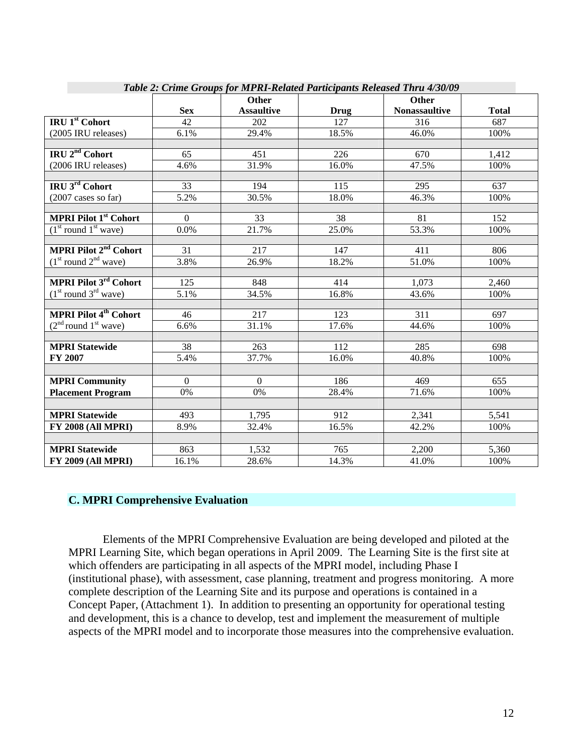| Table 2: Crime Groups for MPRI-Retated Participants Released Thru 4/30/09 |                |                   |       |                      |              |  |
|---------------------------------------------------------------------------|----------------|-------------------|-------|----------------------|--------------|--|
|                                                                           |                | <b>Other</b>      |       | <b>Other</b>         |              |  |
|                                                                           | <b>Sex</b>     | <b>Assaultive</b> | Drug  | <b>Nonassaultive</b> | <b>Total</b> |  |
| <b>IRU</b> 1 <sup>st</sup> Cohort                                         | 42             | 202               | 127   | 316                  | 687          |  |
| (2005 IRU releases)                                                       | 6.1%           | 29.4%             | 18.5% | 46.0%                | 100%         |  |
|                                                                           |                |                   |       |                      |              |  |
| IRU 2 <sup>nd</sup> Cohort                                                | 65             | 451               | 226   | 670                  | 1,412        |  |
| (2006 IRU releases)                                                       | 4.6%           | 31.9%             | 16.0% | 47.5%                | 100%         |  |
|                                                                           |                |                   |       |                      |              |  |
| <b>IRU 3rd Cohort</b>                                                     | 33             | 194               | 115   | 295                  | 637          |  |
| $(2007 \text{ cases so far})$                                             | 5.2%           | 30.5%             | 18.0% | 46.3%                | 100%         |  |
|                                                                           |                |                   |       |                      |              |  |
| <b>MPRI Pilot 1st Cohort</b>                                              | $\mathbf{0}$   | 33                | 38    | 81                   | 152          |  |
| $(1st$ round $1st$ wave)                                                  | 0.0%           | 21.7%             | 25.0% | 53.3%                | 100%         |  |
|                                                                           |                |                   |       |                      |              |  |
| <b>MPRI Pilot 2<sup>nd</sup> Cohort</b>                                   | 31             | 217               | 147   | 411                  | 806          |  |
| $(1st$ round $2nd$ wave)                                                  | 3.8%           | 26.9%             | 18.2% | 51.0%                | 100%         |  |
|                                                                           |                |                   |       |                      |              |  |
| <b>MPRI Pilot 3rd Cohort</b>                                              | 125            | 848               | 414   | 1,073                | 2,460        |  |
| $(1st$ round $3rd$ wave)                                                  | 5.1%           | 34.5%             | 16.8% | 43.6%                | 100%         |  |
|                                                                           |                |                   |       |                      |              |  |
| <b>MPRI Pilot 4<sup>th</sup> Cohort</b>                                   | 46             | 217               | 123   | 311                  | 697          |  |
| $(2nd$ round $1st$ wave)                                                  | 6.6%           | 31.1%             | 17.6% | 44.6%                | 100%         |  |
|                                                                           |                |                   |       |                      |              |  |
| <b>MPRI Statewide</b>                                                     | 38             | 263               | 112   | 285                  | 698          |  |
| FY 2007                                                                   | 5.4%           | 37.7%             | 16.0% | 40.8%                | 100%         |  |
|                                                                           |                |                   |       |                      |              |  |
| <b>MPRI Community</b>                                                     | $\overline{0}$ | $\theta$          | 186   | 469                  | 655          |  |
| <b>Placement Program</b>                                                  | 0%             | 0%                | 28.4% | 71.6%                | 100%         |  |
|                                                                           |                |                   |       |                      |              |  |
| <b>MPRI Statewide</b>                                                     | 493            | 1,795             | 912   | 2,341                | 5,541        |  |
| $\overline{\text{FY}}$ 2008 (All MPRI)                                    | 8.9%           | 32.4%             | 16.5% | 42.2%                | 100%         |  |
|                                                                           |                |                   |       |                      |              |  |
| <b>MPRI Statewide</b>                                                     | 863            | 1,532             | 765   | 2,200                | 5,360        |  |
| <b>FY 2009 (All MPRI)</b>                                                 | 16.1%          | 28.6%             | 14.3% | 41.0%                | 100%         |  |

*Table 2: Crime Groups for MPRI-Related Participants Released Thru 4/30/09* 

#### **C. MPRI Comprehensive Evaluation**

Elements of the MPRI Comprehensive Evaluation are being developed and piloted at the MPRI Learning Site, which began operations in April 2009. The Learning Site is the first site at which offenders are participating in all aspects of the MPRI model, including Phase I (institutional phase), with assessment, case planning, treatment and progress monitoring. A more complete description of the Learning Site and its purpose and operations is contained in a Concept Paper, (Attachment 1). In addition to presenting an opportunity for operational testing and development, this is a chance to develop, test and implement the measurement of multiple aspects of the MPRI model and to incorporate those measures into the comprehensive evaluation.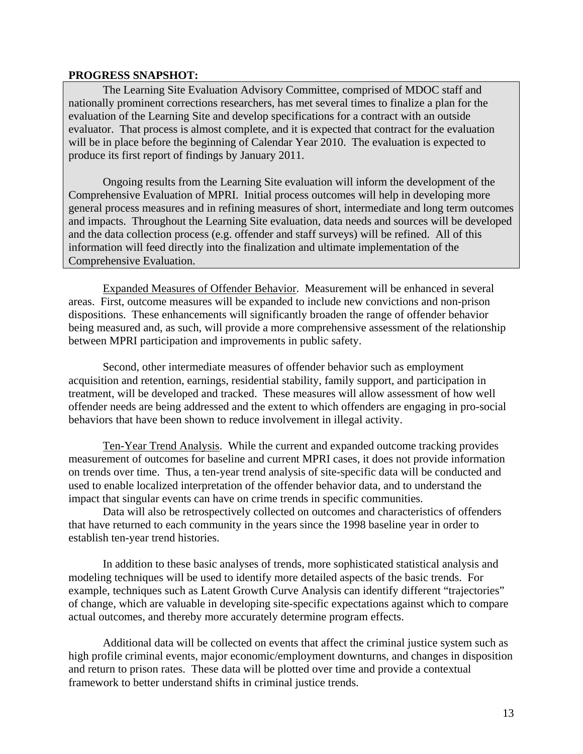#### **PROGRESS SNAPSHOT:**

The Learning Site Evaluation Advisory Committee, comprised of MDOC staff and nationally prominent corrections researchers, has met several times to finalize a plan for the evaluation of the Learning Site and develop specifications for a contract with an outside evaluator. That process is almost complete, and it is expected that contract for the evaluation will be in place before the beginning of Calendar Year 2010. The evaluation is expected to produce its first report of findings by January 2011.

Ongoing results from the Learning Site evaluation will inform the development of the Comprehensive Evaluation of MPRI. Initial process outcomes will help in developing more general process measures and in refining measures of short, intermediate and long term outcomes and impacts. Throughout the Learning Site evaluation, data needs and sources will be developed and the data collection process (e.g. offender and staff surveys) will be refined. All of this information will feed directly into the finalization and ultimate implementation of the Comprehensive Evaluation.

Expanded Measures of Offender Behavior. Measurement will be enhanced in several areas. First, outcome measures will be expanded to include new convictions and non-prison dispositions. These enhancements will significantly broaden the range of offender behavior being measured and, as such, will provide a more comprehensive assessment of the relationship between MPRI participation and improvements in public safety.

Second, other intermediate measures of offender behavior such as employment acquisition and retention, earnings, residential stability, family support, and participation in treatment, will be developed and tracked. These measures will allow assessment of how well offender needs are being addressed and the extent to which offenders are engaging in pro-social behaviors that have been shown to reduce involvement in illegal activity.

Ten-Year Trend Analysis. While the current and expanded outcome tracking provides measurement of outcomes for baseline and current MPRI cases, it does not provide information on trends over time. Thus, a ten-year trend analysis of site-specific data will be conducted and used to enable localized interpretation of the offender behavior data, and to understand the impact that singular events can have on crime trends in specific communities.

Data will also be retrospectively collected on outcomes and characteristics of offenders that have returned to each community in the years since the 1998 baseline year in order to establish ten-year trend histories.

In addition to these basic analyses of trends, more sophisticated statistical analysis and modeling techniques will be used to identify more detailed aspects of the basic trends. For example, techniques such as Latent Growth Curve Analysis can identify different "trajectories" of change, which are valuable in developing site-specific expectations against which to compare actual outcomes, and thereby more accurately determine program effects.

Additional data will be collected on events that affect the criminal justice system such as high profile criminal events, major economic/employment downturns, and changes in disposition and return to prison rates. These data will be plotted over time and provide a contextual framework to better understand shifts in criminal justice trends.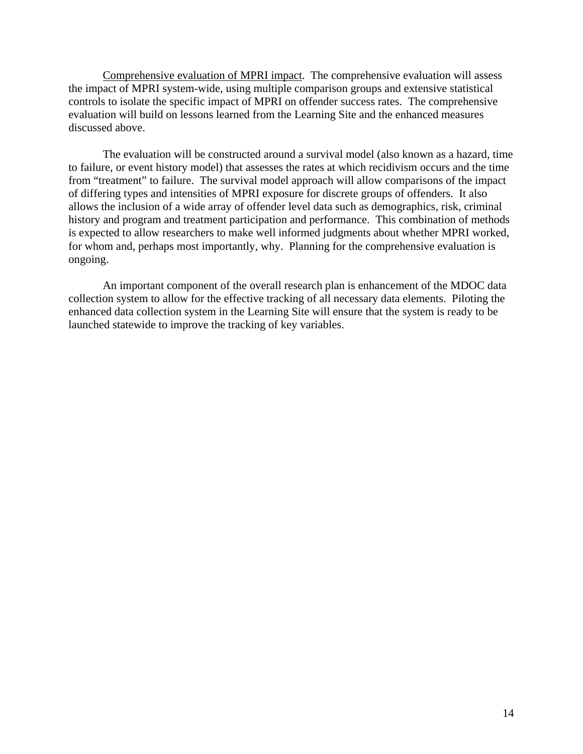Comprehensive evaluation of MPRI impact. The comprehensive evaluation will assess the impact of MPRI system-wide, using multiple comparison groups and extensive statistical controls to isolate the specific impact of MPRI on offender success rates. The comprehensive evaluation will build on lessons learned from the Learning Site and the enhanced measures discussed above.

The evaluation will be constructed around a survival model (also known as a hazard, time to failure, or event history model) that assesses the rates at which recidivism occurs and the time from "treatment" to failure. The survival model approach will allow comparisons of the impact of differing types and intensities of MPRI exposure for discrete groups of offenders. It also allows the inclusion of a wide array of offender level data such as demographics, risk, criminal history and program and treatment participation and performance. This combination of methods is expected to allow researchers to make well informed judgments about whether MPRI worked, for whom and, perhaps most importantly, why. Planning for the comprehensive evaluation is ongoing.

An important component of the overall research plan is enhancement of the MDOC data collection system to allow for the effective tracking of all necessary data elements. Piloting the enhanced data collection system in the Learning Site will ensure that the system is ready to be launched statewide to improve the tracking of key variables.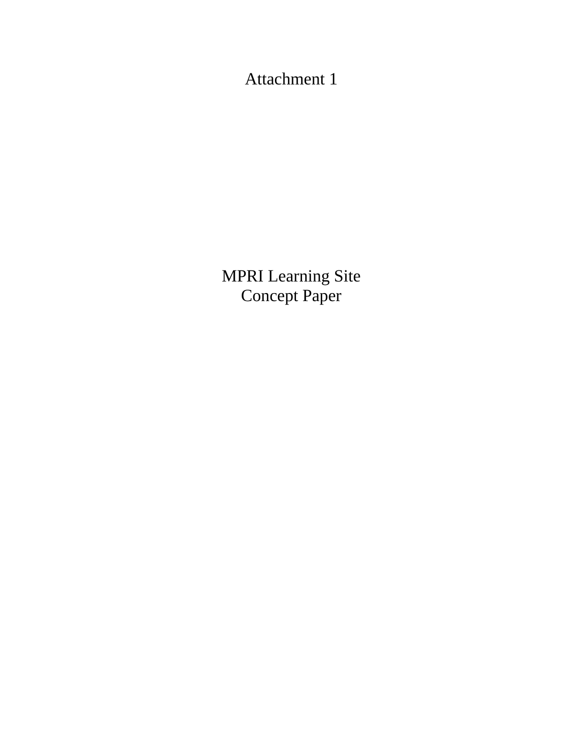Attachment 1

MPRI Learning Site Concept Paper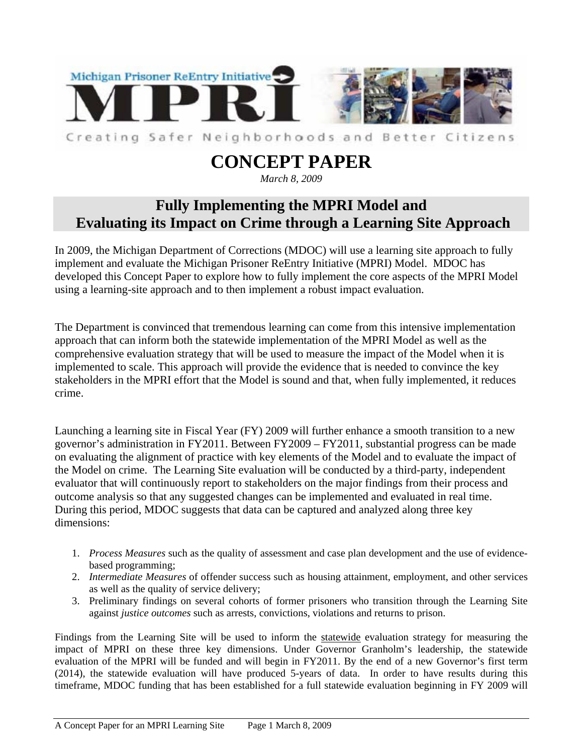

# **CONCEPT PAPER**

# *March 8, 2009*

# **Fully Implementing the MPRI Model and Evaluating its Impact on Crime through a Learning Site Approach**

In 2009, the Michigan Department of Corrections (MDOC) will use a learning site approach to fully implement and evaluate the Michigan Prisoner ReEntry Initiative (MPRI) Model. MDOC has developed this Concept Paper to explore how to fully implement the core aspects of the MPRI Model using a learning-site approach and to then implement a robust impact evaluation.

The Department is convinced that tremendous learning can come from this intensive implementation approach that can inform both the statewide implementation of the MPRI Model as well as the comprehensive evaluation strategy that will be used to measure the impact of the Model when it is implemented to scale. This approach will provide the evidence that is needed to convince the key stakeholders in the MPRI effort that the Model is sound and that, when fully implemented, it reduces crime.

Launching a learning site in Fiscal Year (FY) 2009 will further enhance a smooth transition to a new governor's administration in FY2011. Between FY2009 – FY2011, substantial progress can be made on evaluating the alignment of practice with key elements of the Model and to evaluate the impact of the Model on crime. The Learning Site evaluation will be conducted by a third-party, independent evaluator that will continuously report to stakeholders on the major findings from their process and outcome analysis so that any suggested changes can be implemented and evaluated in real time. During this period, MDOC suggests that data can be captured and analyzed along three key dimensions:

- 1. *Process Measures* such as the quality of assessment and case plan development and the use of evidencebased programming;
- 2. *Intermediate Measures* of offender success such as housing attainment, employment, and other services as well as the quality of service delivery;
- 3. Preliminary findings on several cohorts of former prisoners who transition through the Learning Site against *justice outcomes* such as arrests, convictions, violations and returns to prison.

Findings from the Learning Site will be used to inform the statewide evaluation strategy for measuring the impact of MPRI on these three key dimensions. Under Governor Granholm's leadership, the statewide evaluation of the MPRI will be funded and will begin in FY2011. By the end of a new Governor's first term (2014), the statewide evaluation will have produced 5-years of data. In order to have results during this timeframe, MDOC funding that has been established for a full statewide evaluation beginning in FY 2009 will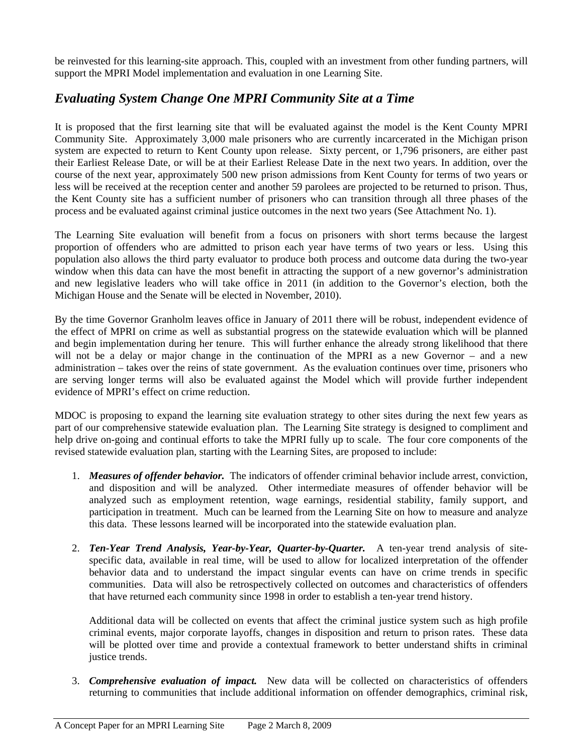be reinvested for this learning-site approach. This, coupled with an investment from other funding partners, will support the MPRI Model implementation and evaluation in one Learning Site.

# *Evaluating System Change One MPRI Community Site at a Time*

It is proposed that the first learning site that will be evaluated against the model is the Kent County MPRI Community Site. Approximately 3,000 male prisoners who are currently incarcerated in the Michigan prison system are expected to return to Kent County upon release. Sixty percent, or 1,796 prisoners, are either past their Earliest Release Date, or will be at their Earliest Release Date in the next two years. In addition, over the course of the next year, approximately 500 new prison admissions from Kent County for terms of two years or less will be received at the reception center and another 59 parolees are projected to be returned to prison. Thus, the Kent County site has a sufficient number of prisoners who can transition through all three phases of the process and be evaluated against criminal justice outcomes in the next two years (See Attachment No. 1).

The Learning Site evaluation will benefit from a focus on prisoners with short terms because the largest proportion of offenders who are admitted to prison each year have terms of two years or less. Using this population also allows the third party evaluator to produce both process and outcome data during the two-year window when this data can have the most benefit in attracting the support of a new governor's administration and new legislative leaders who will take office in 2011 (in addition to the Governor's election, both the Michigan House and the Senate will be elected in November, 2010).

By the time Governor Granholm leaves office in January of 2011 there will be robust, independent evidence of the effect of MPRI on crime as well as substantial progress on the statewide evaluation which will be planned and begin implementation during her tenure. This will further enhance the already strong likelihood that there will not be a delay or major change in the continuation of the MPRI as a new Governor – and a new administration – takes over the reins of state government. As the evaluation continues over time, prisoners who are serving longer terms will also be evaluated against the Model which will provide further independent evidence of MPRI's effect on crime reduction.

MDOC is proposing to expand the learning site evaluation strategy to other sites during the next few years as part of our comprehensive statewide evaluation plan. The Learning Site strategy is designed to compliment and help drive on-going and continual efforts to take the MPRI fully up to scale. The four core components of the revised statewide evaluation plan, starting with the Learning Sites, are proposed to include:

- 1. *Measures of offender behavior.* The indicators of offender criminal behavior include arrest, conviction, and disposition and will be analyzed. Other intermediate measures of offender behavior will be analyzed such as employment retention, wage earnings, residential stability, family support, and participation in treatment. Much can be learned from the Learning Site on how to measure and analyze this data. These lessons learned will be incorporated into the statewide evaluation plan.
- 2. *Ten-Year Trend Analysis, Year-by-Year, Quarter-by-Quarter.* A ten-year trend analysis of sitespecific data, available in real time, will be used to allow for localized interpretation of the offender behavior data and to understand the impact singular events can have on crime trends in specific communities. Data will also be retrospectively collected on outcomes and characteristics of offenders that have returned each community since 1998 in order to establish a ten-year trend history.

Additional data will be collected on events that affect the criminal justice system such as high profile criminal events, major corporate layoffs, changes in disposition and return to prison rates. These data will be plotted over time and provide a contextual framework to better understand shifts in criminal justice trends.

3. *Comprehensive evaluation of impact.* New data will be collected on characteristics of offenders returning to communities that include additional information on offender demographics, criminal risk,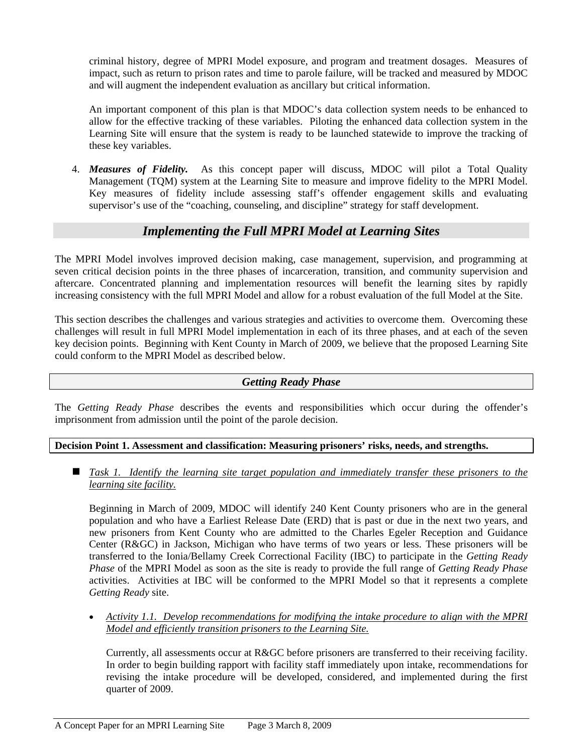criminal history, degree of MPRI Model exposure, and program and treatment dosages. Measures of impact, such as return to prison rates and time to parole failure, will be tracked and measured by MDOC and will augment the independent evaluation as ancillary but critical information.

An important component of this plan is that MDOC's data collection system needs to be enhanced to allow for the effective tracking of these variables. Piloting the enhanced data collection system in the Learning Site will ensure that the system is ready to be launched statewide to improve the tracking of these key variables.

4. *Measures of Fidelity.* As this concept paper will discuss, MDOC will pilot a Total Quality Management (TQM) system at the Learning Site to measure and improve fidelity to the MPRI Model. Key measures of fidelity include assessing staff's offender engagement skills and evaluating supervisor's use of the "coaching, counseling, and discipline" strategy for staff development.

# *Implementing the Full MPRI Model at Learning Sites*

The MPRI Model involves improved decision making, case management, supervision, and programming at seven critical decision points in the three phases of incarceration, transition, and community supervision and aftercare. Concentrated planning and implementation resources will benefit the learning sites by rapidly increasing consistency with the full MPRI Model and allow for a robust evaluation of the full Model at the Site.

This section describes the challenges and various strategies and activities to overcome them. Overcoming these challenges will result in full MPRI Model implementation in each of its three phases, and at each of the seven key decision points. Beginning with Kent County in March of 2009, we believe that the proposed Learning Site could conform to the MPRI Model as described below.

# *Getting Ready Phase*

The *Getting Ready Phase* describes the events and responsibilities which occur during the offender's imprisonment from admission until the point of the parole decision.

# **Decision Point 1. Assessment and classification: Measuring prisoners' risks, needs, and strengths.**

■ Task 1. Identify the learning site target population and immediately transfer these prisoners to the *learning site facility.*

Beginning in March of 2009, MDOC will identify 240 Kent County prisoners who are in the general population and who have a Earliest Release Date (ERD) that is past or due in the next two years, and new prisoners from Kent County who are admitted to the Charles Egeler Reception and Guidance Center (R&GC) in Jackson, Michigan who have terms of two years or less. These prisoners will be transferred to the Ionia/Bellamy Creek Correctional Facility (IBC) to participate in the *Getting Ready Phase* of the MPRI Model as soon as the site is ready to provide the full range of *Getting Ready Phase* activities. Activities at IBC will be conformed to the MPRI Model so that it represents a complete *Getting Ready* site.

• *Activity 1.1. Develop recommendations for modifying the intake procedure to align with the MPRI Model and efficiently transition prisoners to the Learning Site.* 

Currently, all assessments occur at R&GC before prisoners are transferred to their receiving facility. In order to begin building rapport with facility staff immediately upon intake, recommendations for revising the intake procedure will be developed, considered, and implemented during the first quarter of 2009.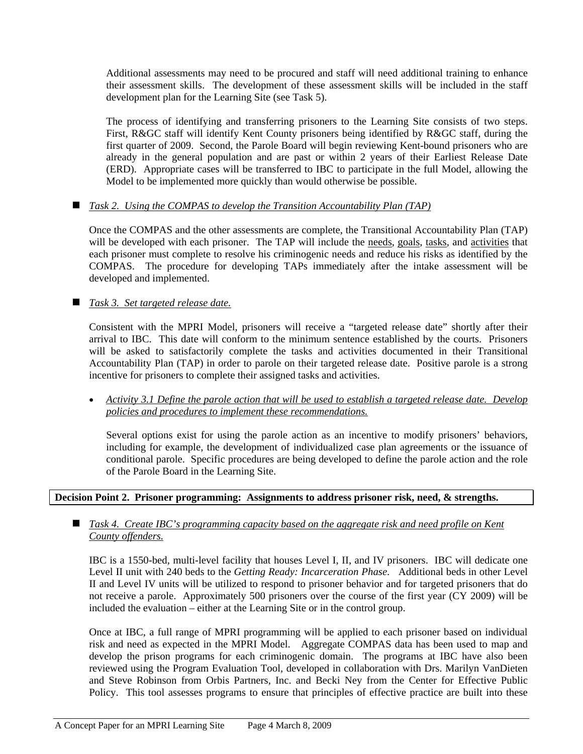Additional assessments may need to be procured and staff will need additional training to enhance their assessment skills. The development of these assessment skills will be included in the staff development plan for the Learning Site (see Task 5).

The process of identifying and transferring prisoners to the Learning Site consists of two steps. First, R&GC staff will identify Kent County prisoners being identified by R&GC staff, during the first quarter of 2009. Second, the Parole Board will begin reviewing Kent-bound prisoners who are already in the general population and are past or within 2 years of their Earliest Release Date (ERD). Appropriate cases will be transferred to IBC to participate in the full Model, allowing the Model to be implemented more quickly than would otherwise be possible.

# *Task 2. Using the COMPAS to develop the Transition Accountability Plan (TAP)*

Once the COMPAS and the other assessments are complete, the Transitional Accountability Plan (TAP) will be developed with each prisoner. The TAP will include the needs, goals, tasks, and activities that each prisoner must complete to resolve his criminogenic needs and reduce his risks as identified by the COMPAS. The procedure for developing TAPs immediately after the intake assessment will be developed and implemented.

# *Task 3. Set targeted release date.*

Consistent with the MPRI Model, prisoners will receive a "targeted release date" shortly after their arrival to IBC. This date will conform to the minimum sentence established by the courts. Prisoners will be asked to satisfactorily complete the tasks and activities documented in their Transitional Accountability Plan (TAP) in order to parole on their targeted release date. Positive parole is a strong incentive for prisoners to complete their assigned tasks and activities.

• *Activity 3.1 Define the parole action that will be used to establish a targeted release date. Develop policies and procedures to implement these recommendations.*

Several options exist for using the parole action as an incentive to modify prisoners' behaviors, including for example, the development of individualized case plan agreements or the issuance of conditional parole. Specific procedures are being developed to define the parole action and the role of the Parole Board in the Learning Site.

#### **Decision Point 2. Prisoner programming: Assignments to address prisoner risk, need, & strengths.**

#### *Task 4. Create IBC's programming capacity based on the aggregate risk and need profile on Kent County offenders.*

IBC is a 1550-bed, multi-level facility that houses Level I, II, and IV prisoners. IBC will dedicate one Level II unit with 240 beds to the *Getting Ready: Incarceration Phase*. Additional beds in other Level II and Level IV units will be utilized to respond to prisoner behavior and for targeted prisoners that do not receive a parole. Approximately 500 prisoners over the course of the first year (CY 2009) will be included the evaluation – either at the Learning Site or in the control group.

Once at IBC, a full range of MPRI programming will be applied to each prisoner based on individual risk and need as expected in the MPRI Model. Aggregate COMPAS data has been used to map and develop the prison programs for each criminogenic domain. The programs at IBC have also been reviewed using the Program Evaluation Tool, developed in collaboration with Drs. Marilyn VanDieten and Steve Robinson from Orbis Partners, Inc. and Becki Ney from the Center for Effective Public Policy. This tool assesses programs to ensure that principles of effective practice are built into these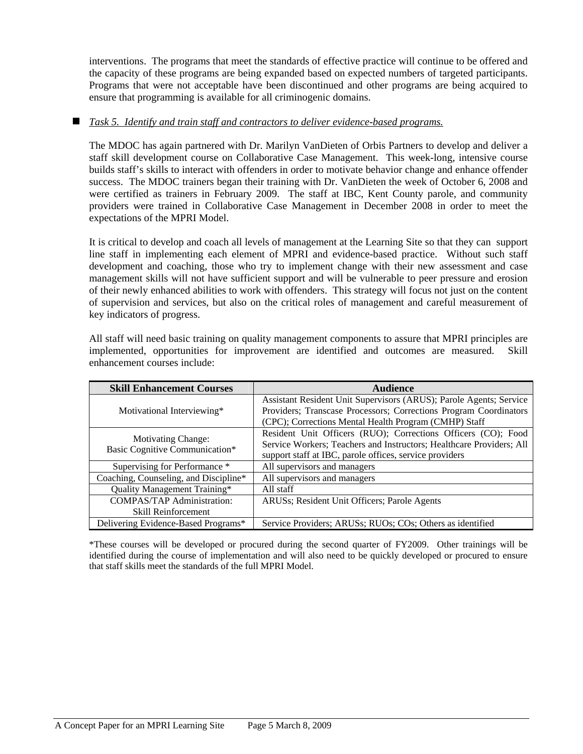interventions. The programs that meet the standards of effective practice will continue to be offered and the capacity of these programs are being expanded based on expected numbers of targeted participants. Programs that were not acceptable have been discontinued and other programs are being acquired to ensure that programming is available for all criminogenic domains.

## *Task 5. Identify and train staff and contractors to deliver evidence-based programs.*

The MDOC has again partnered with Dr. Marilyn VanDieten of Orbis Partners to develop and deliver a staff skill development course on Collaborative Case Management. This week-long, intensive course builds staff's skills to interact with offenders in order to motivate behavior change and enhance offender success. The MDOC trainers began their training with Dr. VanDieten the week of October 6, 2008 and were certified as trainers in February 2009. The staff at IBC, Kent County parole, and community providers were trained in Collaborative Case Management in December 2008 in order to meet the expectations of the MPRI Model.

It is critical to develop and coach all levels of management at the Learning Site so that they can support line staff in implementing each element of MPRI and evidence-based practice. Without such staff development and coaching, those who try to implement change with their new assessment and case management skills will not have sufficient support and will be vulnerable to peer pressure and erosion of their newly enhanced abilities to work with offenders. This strategy will focus not just on the content of supervision and services, but also on the critical roles of management and careful measurement of key indicators of progress.

All staff will need basic training on quality management components to assure that MPRI principles are implemented, opportunities for improvement are identified and outcomes are measured. Skill enhancement courses include:

| <b>Skill Enhancement Courses</b>      | <b>Audience</b>                                                      |
|---------------------------------------|----------------------------------------------------------------------|
|                                       | Assistant Resident Unit Supervisors (ARUS); Parole Agents; Service   |
| Motivational Interviewing*            | Providers; Transcase Processors; Corrections Program Coordinators    |
|                                       | (CPC); Corrections Mental Health Program (CMHP) Staff                |
| <b>Motivating Change:</b>             | Resident Unit Officers (RUO); Corrections Officers (CO); Food        |
| Basic Cognitive Communication*        | Service Workers; Teachers and Instructors; Healthcare Providers; All |
|                                       | support staff at IBC, parole offices, service providers              |
| Supervising for Performance *         | All supervisors and managers                                         |
| Coaching, Counseling, and Discipline* | All supervisors and managers                                         |
| Quality Management Training*          | All staff                                                            |
| <b>COMPAS/TAP Administration:</b>     | ARUSs; Resident Unit Officers; Parole Agents                         |
| <b>Skill Reinforcement</b>            |                                                                      |
| Delivering Evidence-Based Programs*   | Service Providers; ARUSs; RUOs; COs; Others as identified            |

\*These courses will be developed or procured during the second quarter of FY2009. Other trainings will be identified during the course of implementation and will also need to be quickly developed or procured to ensure that staff skills meet the standards of the full MPRI Model.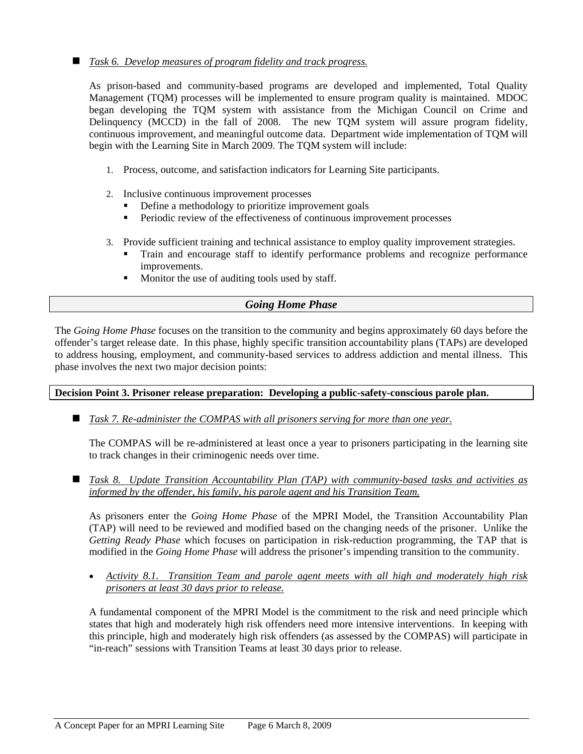# *Task 6. Develop measures of program fidelity and track progress.*

As prison-based and community-based programs are developed and implemented, Total Quality Management (TQM) processes will be implemented to ensure program quality is maintained. MDOC began developing the TQM system with assistance from the Michigan Council on Crime and Delinquency (MCCD) in the fall of 2008. The new TQM system will assure program fidelity, continuous improvement, and meaningful outcome data. Department wide implementation of TQM will begin with the Learning Site in March 2009. The TQM system will include:

- 1. Process, outcome, and satisfaction indicators for Learning Site participants.
- 2. Inclusive continuous improvement processes
	- Define a methodology to prioritize improvement goals
	- Periodic review of the effectiveness of continuous improvement processes
- 3. Provide sufficient training and technical assistance to employ quality improvement strategies.
	- Train and encourage staff to identify performance problems and recognize performance improvements.
	- Monitor the use of auditing tools used by staff.

# *Going Home Phase*

The *Going Home Phase* focuses on the transition to the community and begins approximately 60 days before the offender's target release date. In this phase, highly specific transition accountability plans (TAPs) are developed to address housing, employment, and community-based services to address addiction and mental illness. This phase involves the next two major decision points:

**Decision Point 3. Prisoner release preparation: Developing a public-safety-conscious parole plan.** 

*Task 7. Re-administer the COMPAS with all prisoners serving for more than one year.*

The COMPAS will be re-administered at least once a year to prisoners participating in the learning site to track changes in their criminogenic needs over time.

 *Task 8. Update Transition Accountability Plan (TAP) with community-based tasks and activities as informed by the offender, his family, his parole agent and his Transition Team.* 

As prisoners enter the *Going Home Phase* of the MPRI Model, the Transition Accountability Plan (TAP) will need to be reviewed and modified based on the changing needs of the prisoner. Unlike the *Getting Ready Phase* which focuses on participation in risk-reduction programming, the TAP that is modified in the *Going Home Phase* will address the prisoner's impending transition to the community.

• *Activity 8.1. Transition Team and parole agent meets with all high and moderately high risk prisoners at least 30 days prior to release.*

A fundamental component of the MPRI Model is the commitment to the risk and need principle which states that high and moderately high risk offenders need more intensive interventions. In keeping with this principle, high and moderately high risk offenders (as assessed by the COMPAS) will participate in "in-reach" sessions with Transition Teams at least 30 days prior to release.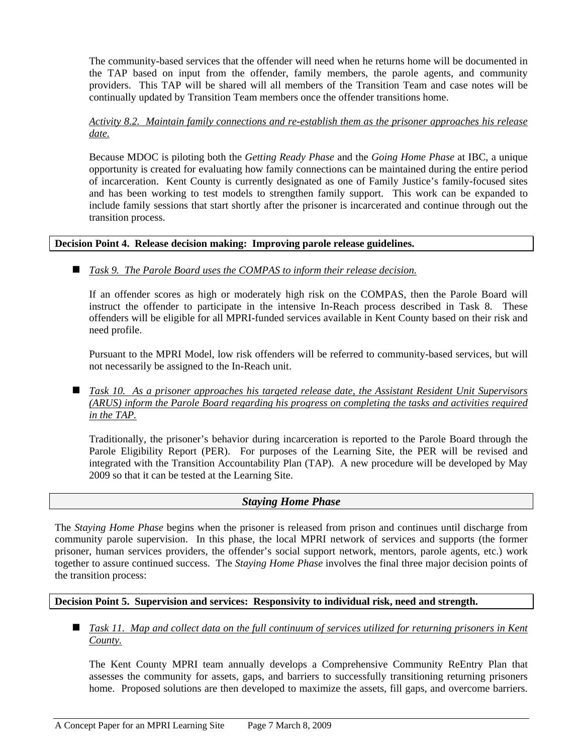The community-based services that the offender will need when he returns home will be documented in the TAP based on input from the offender, family members, the parole agents, and community providers. This TAP will be shared will all members of the Transition Team and case notes will be continually updated by Transition Team members once the offender transitions home.

## *Activity 8.2. Maintain family connections and re-establish them as the prisoner approaches his release date.*

Because MDOC is piloting both the *Getting Ready Phase* and the *Going Home Phase* at IBC, a unique opportunity is created for evaluating how family connections can be maintained during the entire period of incarceration. Kent County is currently designated as one of Family Justice's family-focused sites and has been working to test models to strengthen family support. This work can be expanded to include family sessions that start shortly after the prisoner is incarcerated and continue through out the transition process.

# **Decision Point 4. Release decision making: Improving parole release guidelines.**

# ■ *Task 9. The Parole Board uses the COMPAS to inform their release decision.*

If an offender scores as high or moderately high risk on the COMPAS, then the Parole Board will instruct the offender to participate in the intensive In-Reach process described in Task 8. These offenders will be eligible for all MPRI-funded services available in Kent County based on their risk and need profile.

Pursuant to the MPRI Model, low risk offenders will be referred to community-based services, but will not necessarily be assigned to the In-Reach unit.

■ *Task 10. As a prisoner approaches his targeted release date, the Assistant Resident Unit Supervisors (ARUS) inform the Parole Board regarding his progress on completing the tasks and activities required in the TAP.* 

Traditionally, the prisoner's behavior during incarceration is reported to the Parole Board through the Parole Eligibility Report (PER). For purposes of the Learning Site, the PER will be revised and integrated with the Transition Accountability Plan (TAP). A new procedure will be developed by May 2009 so that it can be tested at the Learning Site.

# *Staying Home Phase*

The *Staying Home Phase* begins when the prisoner is released from prison and continues until discharge from community parole supervision. In this phase, the local MPRI network of services and supports (the former prisoner, human services providers, the offender's social support network, mentors, parole agents, etc.) work together to assure continued success. The *Staying Home Phase* involves the final three major decision points of the transition process:

# **Decision Point 5. Supervision and services: Responsivity to individual risk, need and strength.**

■ *Task 11. Map and collect data on the full continuum of services utilized for returning prisoners in Kent County.*

The Kent County MPRI team annually develops a Comprehensive Community ReEntry Plan that assesses the community for assets, gaps, and barriers to successfully transitioning returning prisoners home. Proposed solutions are then developed to maximize the assets, fill gaps, and overcome barriers.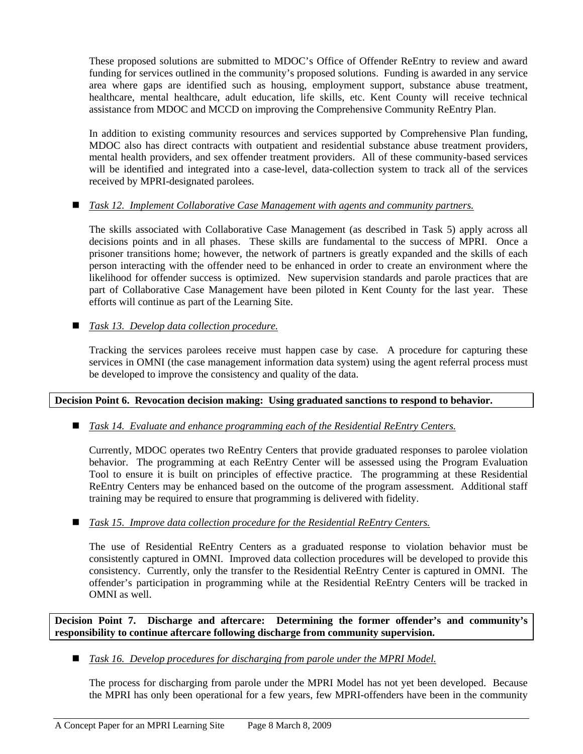These proposed solutions are submitted to MDOC's Office of Offender ReEntry to review and award funding for services outlined in the community's proposed solutions. Funding is awarded in any service area where gaps are identified such as housing, employment support, substance abuse treatment, healthcare, mental healthcare, adult education, life skills, etc. Kent County will receive technical assistance from MDOC and MCCD on improving the Comprehensive Community ReEntry Plan.

will be identified and integrated into a case-level, data-collection system to track all of the services received by MPRI-designated parolees. In addition to existing community resources and services supported by Comprehensive Plan funding, MDOC also has direct contracts with outpatient and residential substance abuse treatment providers, mental health providers, and sex offender treatment providers. All of these community-based services

# ■ *Task 12. Implement Collaborative Case Management with agents and community partners.*

part of Collaborative Case Management have been piloted in Kent County for the last year. These efforts will continue as part of the Learning Site. The skills associated with Collaborative Case Management (as described in Task 5) apply across all decisions points and in all phases. These skills are fundamental to the success of MPRI. Once a prisoner transitions home; however, the network of partners is greatly expanded and the skills of each person interacting with the offender need to be enhanced in order to create an environment where the likelihood for offender success is optimized. New supervision standards and parole practices that are

*Task 13. Develop data collection procedure.*

services in OMNI (the case management information data system) using the agent referral process must be developed to improve the consistency and quality of the data. Tracking the services parolees receive must happen case by case. A procedure for capturing these

# Decision Point 6. Revocation decision making: Using graduated sanctions to respond to behavior.

*Task 14. Evaluate and enhance programming each of the Residential ReEntry Centers.*

ReEntry Centers may be enhanced based on the outcome of the program assessment. Additional staff training may be required to ensure that programming is delivered with fidelity. Currently, MDOC operates two ReEntry Centers that provide graduated responses to parolee violation behavior. The programming at each ReEntry Center will be assessed using the Program Evaluation Tool to ensure it is built on principles of effective practice. The programming at these Residential

# *Task 15. Improve data collection procedure for the Residential ReEntry Centers.*

offender's participation in programming while at the Residential ReEntry Centers will be tracked in OMNI as well. The use of Residential ReEntry Centers as a graduated response to violation behavior must be consistently captured in OMNI. Improved data collection procedures will be developed to provide this consistency. Currently, only the transfer to the Residential ReEntry Center is captured in OMNI. The

Decision Point 7. Discharge and aftercare: Determining the former offender's and community's **responsibility to continue aftercare following discharge from community supervision.** 

*Task 16. Develop procedures for discharging from parole under the MPRI Model.*

The process for discharging from parole under the MPRI Model has not yet been developed. Because the MPRI has only been operational for a few years, few MPRI-offenders have been in the community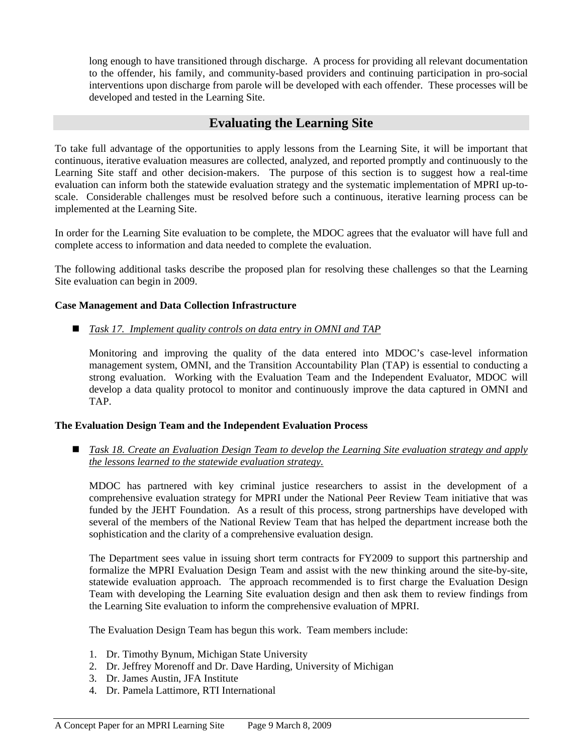long enough to have transitioned through discharge. A process for providing all relevant documentation to the offender, his family, and community-based providers and continuing participation in pro-social interventions upon discharge from parole will be developed with each offender. These processes will be developed and tested in the Learning Site.

# **Evaluating the Learning Site**

scale. Considerable challenges must be resolved before such a continuous, iterative learning process can be implemented at the Learning Site. To take full advantage of the opportunities to apply lessons from the Learning Site, it will be important that continuous, iterative evaluation measures are collected, analyzed, and reported promptly and continuously to the Learning Site staff and other decision-makers. The purpose of this section is to suggest how a real-time evaluation can inform both the statewide evaluation strategy and the systematic implementation of MPRI up-to-

In order for the Learning Site evaluation to be complete, the MDOC agrees that the evaluator will have full and omplete access to information and data needed to complete the evaluation. c

The following additional tasks describe the proposed plan for resolving these challenges so that the Learning Site evaluation can begin in 2009.

#### **Case Management and Data Collection Infrastructure**

*Task 17. Implement quality controls on data entry in OMNI and TAP*

develop a data quality protocol to monitor and continuously improve the data captured in OMNI and TAP. Monitoring and improving the quality of the data entered into MDOC's case-level information management system, OMNI, and the Transition Accountability Plan (TAP) is essential to conducting a strong evaluation. Working with the Evaluation Team and the Independent Evaluator, MDOC will

#### **he Evaluation Design Team and the Independent Evaluation Process T**

**E** Task 18. Create an Evaluation Design Team to develop the Learning Site evaluation strategy and apply *the lessons learned to the statewide evaluation strategy.* 

several of the members of the National Review Team that has helped the department increase both the sophistication and the clarity of a comprehensive evaluation design. MDOC has partnered with key criminal justice researchers to assist in the development of a comprehensive evaluation strategy for MPRI under the National Peer Review Team initiative that was funded by the JEHT Foundation. As a result of this process, strong partnerships have developed with

Team with developing the Learning Site evaluation design and then ask them to review findings from the Learning Site evaluation to inform the comprehensive evaluation of MPRI. The Department sees value in issuing short term contracts for FY2009 to support this partnership and formalize the MPRI Evaluation Design Team and assist with the new thinking around the site-by-site, statewide evaluation approach. The approach recommended is to first charge the Evaluation Design

The Evaluation Design Team has begun this work. Team members include:

- 1. Dr. Timothy Bynum, Michigan State University
- 2. Dr. Jeffrey Morenoff and Dr. Dave Harding, University of Michigan
- 3. Dr. James Austin, JFA Institute
- . Dr. Pamela Lattimore, RTI International 4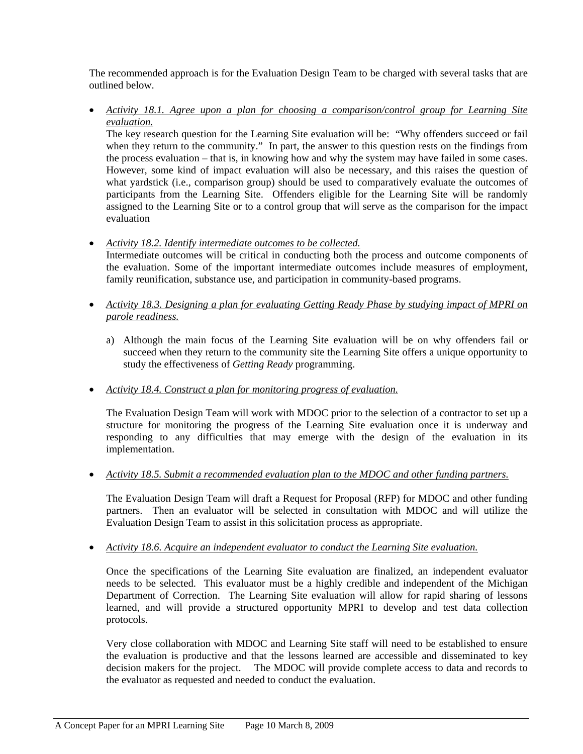The recommended approach is for the Evaluation Design Team to be charged with several tasks that are outlined below.

• Activity 18.1. Agree upon a plan for choosing a comparison/control group for Learning Site *evaluation.*

The key research question for the Learning Site evaluation will be: "Why offenders succeed or fail when they return to the community." In part, the answer to this question rests on the findings from the process evaluation – that is, in knowing how and why the system may have failed in some cases. However, some kind of impact evaluation will also be necessary, and this raises the question of what yardstick (i.e., comparison group) should be used to comparatively evaluate the outcomes of participants from the Learning Site. Offenders eligible for the Learning Site will be randomly assigned to the Learning Site or to a control group that will serve as the comparison for the impact evaluation

- *Activity 18.2. Identify intermediate outcomes to be collected.* Intermediate outcomes will be critical in conducting both the process and outcome components of the evaluation. Some of the important intermediate outcomes include measures of employment, family reunification, substance use, and participation in community-based programs.
- Activity 18.3. Designing a plan for evaluating Getting Ready Phase by studying impact of MPRI on *parole readiness.*
	- a) Although the main focus of the Learning Site evaluation will be on why offenders fail or succeed when they return to the community site the Learning Site offers a unique opportunity to study the effectiveness of *Getting Ready* programming.
- *Activity 18.4. Construct a plan for monitoring progress of evaluation.* •

responding to any difficulties that may emerge with the design of the evaluation in its implementation. The Evaluation Design Team will work with MDOC prior to the selection of a contractor to set up a structure for monitoring the progress of the Learning Site evaluation once it is underway and

*Activity 18.5. Submit a recommended evaluation plan to the MDOC and other funding partners.* •

partners. Then an evaluator will be selected in consultation with MDOC and will utilize the Evaluation Design Team to assist in this solicitation process as appropriate. The Evaluation Design Team will draft a Request for Proposal (RFP) for MDOC and other funding

• *Activity 18.6. Acquire an independent evaluator to conduct the Learning Site evaluation.*

learned, and will provide a structured opportunity MPRI to develop and test data collection protocols. Once the specifications of the Learning Site evaluation are finalized, an independent evaluator needs to be selected. This evaluator must be a highly credible and independent of the Michigan Department of Correction. The Learning Site evaluation will allow for rapid sharing of lessons

The MDOC will provide complete access to data and records to the evaluator as requested and needed to conduct the evaluation. Very close collaboration with MDOC and Learning Site staff will need to be established to ensure the evaluation is productive and that the lessons learned are accessible and disseminated to key decision makers for the project.